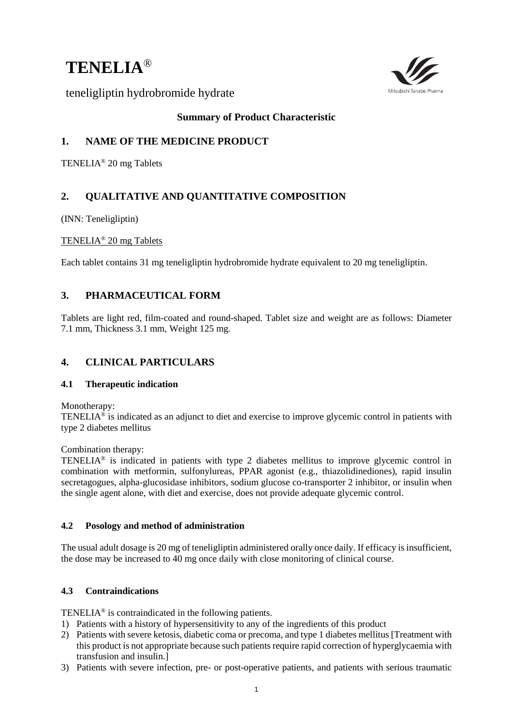# **TENELIA**®



teneligliptin hydrobromide hydrate

# **Summary of Product Characteristic**

# **1. NAME OF THE MEDICINE PRODUCT**

TENELIA® 20 mg Tablets

# **2. QUALITATIVE AND QUANTITATIVE COMPOSITION**

(INN: Teneligliptin)

# TENELIA® 20 mg Tablets

Each tablet contains 31 mg teneligliptin hydrobromide hydrate equivalent to 20 mg teneligliptin.

# **3. PHARMACEUTICAL FORM**

Tablets are light red, film-coated and round-shaped. Tablet size and weight are as follows: Diameter 7.1 mm, Thickness 3.1 mm, Weight 125 mg.

# **4. CLINICAL PARTICULARS**

# **4.1 Therapeutic indication**

Monotherapy:

TENELIA® is indicated as an adjunct to diet and exercise to improve glycemic control in patients with type 2 diabetes mellitus

Combination therapy:

TENELIA® is indicated in patients with type 2 diabetes mellitus to improve glycemic control in combination with metformin, sulfonylureas, PPAR agonist (e.g., thiazolidinediones), rapid insulin secretagogues, alpha-glucosidase inhibitors, sodium glucose co-transporter 2 inhibitor, or insulin when the single agent alone, with diet and exercise, does not provide adequate glycemic control.

# **4.2 Posology and method of administration**

The usual adult dosage is 20 mg of teneligliptin administered orally once daily. If efficacy is insufficient, the dose may be increased to 40 mg once daily with close monitoring of clinical course.

# **4.3 Contraindications**

TENELIA® is contraindicated in the following patients.

- 1) Patients with a history of hypersensitivity to any of the ingredients of this product
- 2) Patients with severe ketosis, diabetic coma or precoma, and type 1 diabetes mellitus [Treatment with this product is not appropriate because such patients require rapid correction of hyperglycaemia with transfusion and insulin.]
- 3) Patients with severe infection, pre- or post-operative patients, and patients with serious traumatic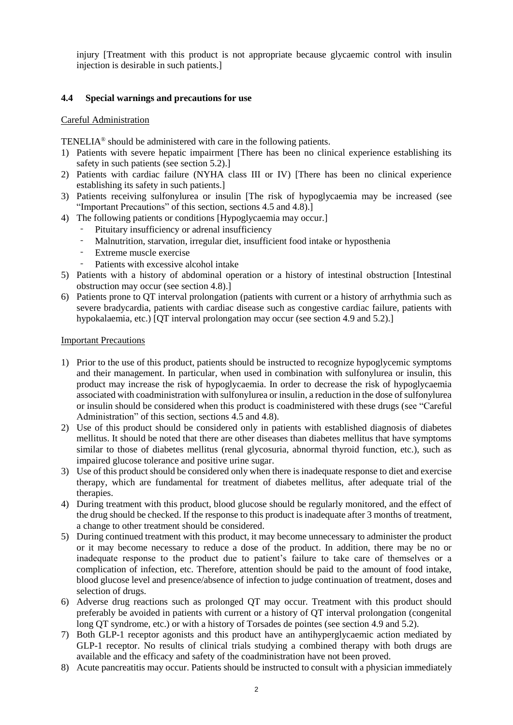injury [Treatment with this product is not appropriate because glycaemic control with insulin injection is desirable in such patients.]

#### **4.4 Special warnings and precautions for use**

#### Careful Administration

TENELIA® should be administered with care in the following patients.

- 1) Patients with severe hepatic impairment [There has been no clinical experience establishing its safety in such patients (see section 5.2).]
- 2) Patients with cardiac failure (NYHA class III or IV) [There has been no clinical experience establishing its safety in such patients.]
- 3) Patients receiving sulfonylurea or insulin [The risk of hypoglycaemia may be increased (see "Important Precautions" of this section, sections 4.5 and 4.8).]
- 4) The following patients or conditions [Hypoglycaemia may occur.]
	- Pituitary insufficiency or adrenal insufficiency
	- Malnutrition, starvation, irregular diet, insufficient food intake or hyposthenia
	- Extreme muscle exercise
	- Patients with excessive alcohol intake
- 5) Patients with a history of abdominal operation or a history of intestinal obstruction [Intestinal obstruction may occur (see section 4.8).]
- 6) Patients prone to QT interval prolongation (patients with current or a history of arrhythmia such as severe bradycardia, patients with cardiac disease such as congestive cardiac failure, patients with hypokalaemia, etc.) [QT interval prolongation may occur (see section 4.9 and 5.2).]

#### Important Precautions

- 1) Prior to the use of this product, patients should be instructed to recognize hypoglycemic symptoms and their management. In particular, when used in combination with sulfonylurea or insulin, this product may increase the risk of hypoglycaemia. In order to decrease the risk of hypoglycaemia associated with coadministration with sulfonylurea or insulin, a reduction in the dose of sulfonylurea or insulin should be considered when this product is coadministered with these drugs (see "Careful Administration" of this section, sections 4.5 and 4.8).
- 2) Use of this product should be considered only in patients with established diagnosis of diabetes mellitus. It should be noted that there are other diseases than diabetes mellitus that have symptoms similar to those of diabetes mellitus (renal glycosuria, abnormal thyroid function, etc.), such as impaired glucose tolerance and positive urine sugar.
- 3) Use of this product should be considered only when there is inadequate response to diet and exercise therapy, which are fundamental for treatment of diabetes mellitus, after adequate trial of the therapies.
- 4) During treatment with this product, blood glucose should be regularly monitored, and the effect of the drug should be checked. If the response to this product is inadequate after 3 months of treatment, a change to other treatment should be considered.
- 5) During continued treatment with this product, it may become unnecessary to administer the product or it may become necessary to reduce a dose of the product. In addition, there may be no or inadequate response to the product due to patient's failure to take care of themselves or a complication of infection, etc. Therefore, attention should be paid to the amount of food intake, blood glucose level and presence/absence of infection to judge continuation of treatment, doses and selection of drugs.
- 6) Adverse drug reactions such as prolonged QT may occur. Treatment with this product should preferably be avoided in patients with current or a history of QT interval prolongation (congenital long QT syndrome, etc.) or with a history of Torsades de pointes (see section 4.9 and 5.2).
- 7) Both GLP-1 receptor agonists and this product have an antihyperglycaemic action mediated by GLP-1 receptor. No results of clinical trials studying a combined therapy with both drugs are available and the efficacy and safety of the coadministration have not been proved.
- 8) Acute pancreatitis may occur. Patients should be instructed to consult with a physician immediately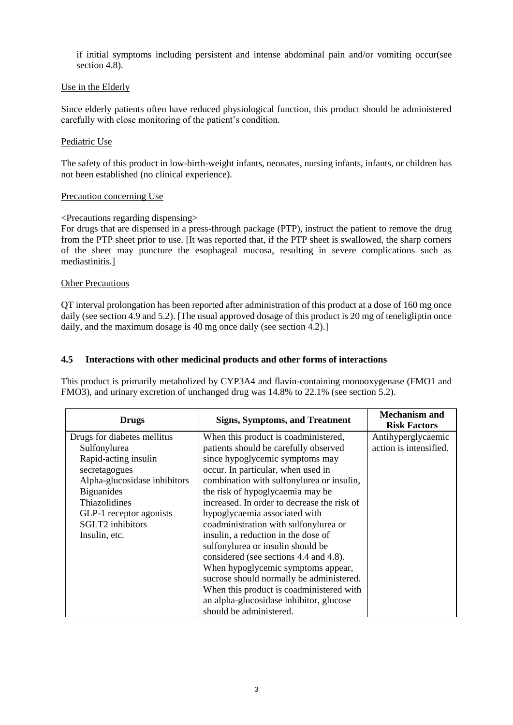if initial symptoms including persistent and intense abdominal pain and/or vomiting occur(see section 4.8).

## Use in the Elderly

Since elderly patients often have reduced physiological function, this product should be administered carefully with close monitoring of the patient's condition.

#### Pediatric Use

The safety of this product in low-birth-weight infants, neonates, nursing infants, infants, or children has not been established (no clinical experience).

#### Precaution concerning Use

## <Precautions regarding dispensing>

For drugs that are dispensed in a press-through package (PTP), instruct the patient to remove the drug from the PTP sheet prior to use. [It was reported that, if the PTP sheet is swallowed, the sharp corners of the sheet may puncture the esophageal mucosa, resulting in severe complications such as mediastinitis.]

## Other Precautions

QT interval prolongation has been reported after administration of this product at a dose of 160 mg once daily (see section 4.9 and 5.2). [The usual approved dosage of this product is 20 mg of teneligliptin once daily, and the maximum dosage is 40 mg once daily (see section 4.2).

## **4.5 Interactions with other medicinal products and other forms of interactions**

This product is primarily metabolized by CYP3A4 and flavin-containing monooxygenase (FMO1 and FMO3), and urinary excretion of unchanged drug was 14.8% to 22.1% (see section 5.2).

| <b>Drugs</b>                 | <b>Signs, Symptoms, and Treatment</b>       | <b>Mechanism and</b><br><b>Risk Factors</b> |
|------------------------------|---------------------------------------------|---------------------------------------------|
| Drugs for diabetes mellitus  | When this product is coadministered,        | Antihyperglycaemic                          |
| Sulfonylurea                 | patients should be carefully observed       | action is intensified.                      |
| Rapid-acting insulin         | since hypoglycemic symptoms may             |                                             |
| secretagogues                | occur. In particular, when used in          |                                             |
| Alpha-glucosidase inhibitors | combination with sulfonylurea or insulin,   |                                             |
| <b>Biguanides</b>            | the risk of hypoglycaemia may be            |                                             |
| <b>Thiazolidines</b>         | increased. In order to decrease the risk of |                                             |
| GLP-1 receptor agonists      | hypoglycaemia associated with               |                                             |
| <b>SGLT2</b> inhibitors      | coadministration with sulfonylurea or       |                                             |
| Insulin, etc.                | insulin, a reduction in the dose of         |                                             |
|                              | sulfonylurea or insulin should be           |                                             |
|                              | considered (see sections 4.4 and 4.8).      |                                             |
|                              | When hypoglycemic symptoms appear,          |                                             |
|                              | sucrose should normally be administered.    |                                             |
|                              | When this product is coadministered with    |                                             |
|                              | an alpha-glucosidase inhibitor, glucose     |                                             |
|                              | should be administered.                     |                                             |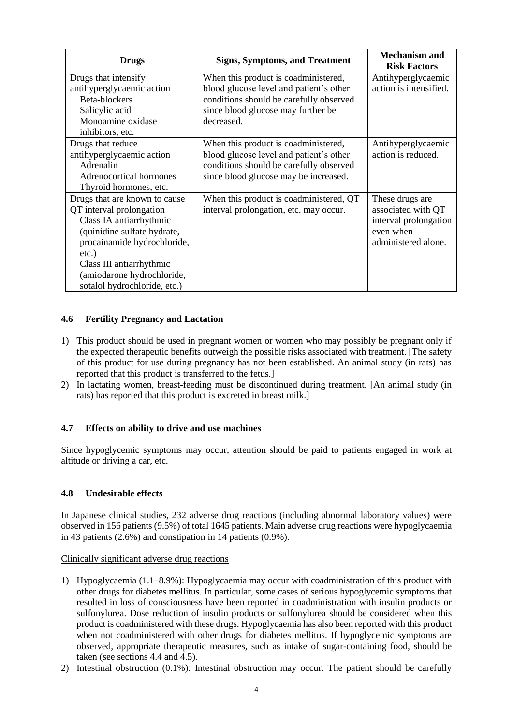| <b>Drugs</b>                                                                                                                                                                                                                                          | <b>Signs, Symptoms, and Treatment</b>                                                                                                                                          | <b>Mechanism and</b><br><b>Risk Factors</b>                                                        |
|-------------------------------------------------------------------------------------------------------------------------------------------------------------------------------------------------------------------------------------------------------|--------------------------------------------------------------------------------------------------------------------------------------------------------------------------------|----------------------------------------------------------------------------------------------------|
| Drugs that intensify<br>antihyperglycaemic action<br>Beta-blockers<br>Salicylic acid<br>Monoamine oxidase<br>inhibitors, etc.                                                                                                                         | When this product is coadministered,<br>blood glucose level and patient's other<br>conditions should be carefully observed<br>since blood glucose may further be<br>decreased. | Antihyperglycaemic<br>action is intensified.                                                       |
| Drugs that reduce<br>antihyperglycaemic action<br>Adrenalin<br>Adrenocortical hormones<br>Thyroid hormones, etc.                                                                                                                                      | When this product is coadministered,<br>blood glucose level and patient's other<br>conditions should be carefully observed<br>since blood glucose may be increased.            | Antihyperglycaemic<br>action is reduced.                                                           |
| Drugs that are known to cause<br>QT interval prolongation<br>Class IA antiarrhythmic<br>(quinidine sulfate hydrate,<br>procainamide hydrochloride,<br>etc.)<br>Class III antiarrhythmic<br>(amiodarone hydrochloride,<br>sotalol hydrochloride, etc.) | When this product is coadministered, QT<br>interval prolongation, etc. may occur.                                                                                              | These drugs are<br>associated with QT<br>interval prolongation<br>even when<br>administered alone. |

## **4.6 Fertility Pregnancy and Lactation**

- 1) This product should be used in pregnant women or women who may possibly be pregnant only if the expected therapeutic benefits outweigh the possible risks associated with treatment. [The safety of this product for use during pregnancy has not been established. An animal study (in rats) has reported that this product is transferred to the fetus.]
- 2) In lactating women, breast-feeding must be discontinued during treatment. [An animal study (in rats) has reported that this product is excreted in breast milk.]

# **4.7 Effects on ability to drive and use machines**

Since hypoglycemic symptoms may occur, attention should be paid to patients engaged in work at altitude or driving a car, etc.

#### **4.8 Undesirable effects**

In Japanese clinical studies, 232 adverse drug reactions (including abnormal laboratory values) were observed in 156 patients (9.5%) of total 1645 patients. Main adverse drug reactions were hypoglycaemia in 43 patients (2.6%) and constipation in 14 patients (0.9%).

#### Clinically significant adverse drug reactions

- 1) Hypoglycaemia (1.1–8.9%): Hypoglycaemia may occur with coadministration of this product with other drugs for diabetes mellitus. In particular, some cases of serious hypoglycemic symptoms that resulted in loss of consciousness have been reported in coadministration with insulin products or sulfonylurea. Dose reduction of insulin products or sulfonylurea should be considered when this product is coadministered with these drugs. Hypoglycaemia has also been reported with this product when not coadministered with other drugs for diabetes mellitus. If hypoglycemic symptoms are observed, appropriate therapeutic measures, such as intake of sugar-containing food, should be taken (see sections 4.4 and 4.5).
- 2) Intestinal obstruction (0.1%): Intestinal obstruction may occur. The patient should be carefully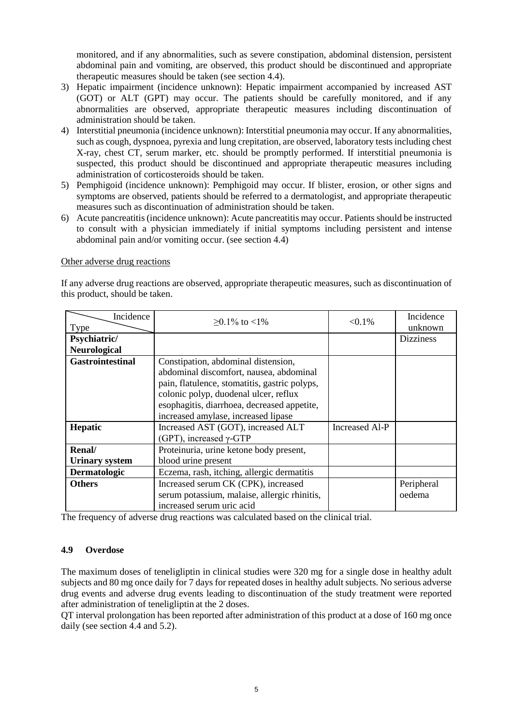monitored, and if any abnormalities, such as severe constipation, abdominal distension, persistent abdominal pain and vomiting, are observed, this product should be discontinued and appropriate therapeutic measures should be taken (see section 4.4).

- 3) Hepatic impairment (incidence unknown): Hepatic impairment accompanied by increased AST (GOT) or ALT (GPT) may occur. The patients should be carefully monitored, and if any abnormalities are observed, appropriate therapeutic measures including discontinuation of administration should be taken.
- 4) Interstitial pneumonia (incidence unknown): Interstitial pneumonia may occur. If any abnormalities, such as cough, dyspnoea, pyrexia and lung crepitation, are observed, laboratory tests including chest X-ray, chest CT, serum marker, etc. should be promptly performed. If interstitial pneumonia is suspected, this product should be discontinued and appropriate therapeutic measures including administration of corticosteroids should be taken.
- 5) Pemphigoid (incidence unknown): Pemphigoid may occur. If blister, erosion, or other signs and symptoms are observed, patients should be referred to a dermatologist, and appropriate therapeutic measures such as discontinuation of administration should be taken.
- 6) Acute pancreatitis (incidence unknown): Acute pancreatitis may occur. Patients should be instructed to consult with a physician immediately if initial symptoms including persistent and intense abdominal pain and/or vomiting occur. (see section 4.4)

#### Other adverse drug reactions

If any adverse drug reactions are observed, appropriate therapeutic measures, such as discontinuation of this product, should be taken.

| Incidence<br>Type       | $>0.1\%$ to $<1\%$                            | $< 0.1\%$      | Incidence<br>unknown |
|-------------------------|-----------------------------------------------|----------------|----------------------|
| Psychiatric/            |                                               |                | <b>Dizziness</b>     |
| <b>Neurological</b>     |                                               |                |                      |
| <b>Gastrointestinal</b> | Constipation, abdominal distension,           |                |                      |
|                         | abdominal discomfort, nausea, abdominal       |                |                      |
|                         | pain, flatulence, stomatitis, gastric polyps, |                |                      |
|                         | colonic polyp, duodenal ulcer, reflux         |                |                      |
|                         | esophagitis, diarrhoea, decreased appetite,   |                |                      |
|                         | increased amylase, increased lipase           |                |                      |
| <b>Hepatic</b>          | Increased AST (GOT), increased ALT            | Increased Al-P |                      |
|                         | (GPT), increased $\gamma$ -GTP                |                |                      |
| Renal/                  | Proteinuria, urine ketone body present,       |                |                      |
| <b>Urinary system</b>   | blood urine present                           |                |                      |
| Dermatologic            | Eczema, rash, itching, allergic dermatitis    |                |                      |
| <b>Others</b>           | Increased serum CK (CPK), increased           |                | Peripheral           |
|                         | serum potassium, malaise, allergic rhinitis,  |                | oedema               |
|                         | increased serum uric acid                     |                |                      |

The frequency of adverse drug reactions was calculated based on the clinical trial.

#### **4.9 Overdose**

The maximum doses of teneligliptin in clinical studies were 320 mg for a single dose in healthy adult subjects and 80 mg once daily for 7 days for repeated doses in healthy adult subjects. No serious adverse drug events and adverse drug events leading to discontinuation of the study treatment were reported after administration of teneligliptin at the 2 doses.

QT interval prolongation has been reported after administration of this product at a dose of 160 mg once daily (see section 4.4 and 5.2).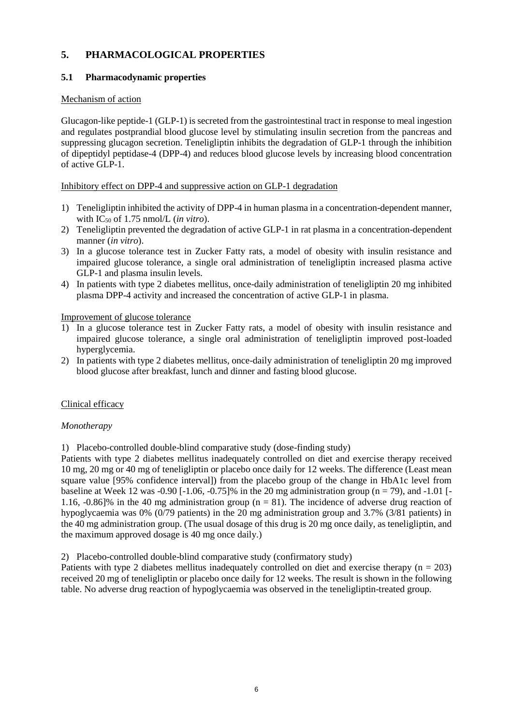# **5. PHARMACOLOGICAL PROPERTIES**

# **5.1 Pharmacodynamic properties**

## Mechanism of action

Glucagon-like peptide-1 (GLP-1) is secreted from the gastrointestinal tract in response to meal ingestion and regulates postprandial blood glucose level by stimulating insulin secretion from the pancreas and suppressing glucagon secretion. Teneligliptin inhibits the degradation of GLP-1 through the inhibition of dipeptidyl peptidase-4 (DPP-4) and reduces blood glucose levels by increasing blood concentration of active GLP-1.

## Inhibitory effect on DPP-4 and suppressive action on GLP-1 degradation

- 1) Teneligliptin inhibited the activity of DPP-4 in human plasma in a concentration-dependent manner, with IC<sup>50</sup> of 1.75 nmol/L (*in vitro*).
- 2) Teneligliptin prevented the degradation of active GLP-1 in rat plasma in a concentration-dependent manner (*in vitro*).
- 3) In a glucose tolerance test in Zucker Fatty rats, a model of obesity with insulin resistance and impaired glucose tolerance, a single oral administration of teneligliptin increased plasma active GLP-1 and plasma insulin levels.
- 4) In patients with type 2 diabetes mellitus, once-daily administration of teneligliptin 20 mg inhibited plasma DPP-4 activity and increased the concentration of active GLP-1 in plasma.

Improvement of glucose tolerance

- 1) In a glucose tolerance test in Zucker Fatty rats, a model of obesity with insulin resistance and impaired glucose tolerance, a single oral administration of teneligliptin improved post-loaded hyperglycemia.
- 2) In patients with type 2 diabetes mellitus, once-daily administration of teneligliptin 20 mg improved blood glucose after breakfast, lunch and dinner and fasting blood glucose.

# Clinical efficacy

#### *Monotherapy*

1) Placebo-controlled double-blind comparative study (dose-finding study)

Patients with type 2 diabetes mellitus inadequately controlled on diet and exercise therapy received 10 mg, 20 mg or 40 mg of teneligliptin or placebo once daily for 12 weeks. The difference (Least mean square value [95% confidence interval]) from the placebo group of the change in HbA1c level from baseline at Week 12 was -0.90 [-1.06, -0.75]% in the 20 mg administration group (n = 79), and -1.01 [-1.16, -0.86]% in the 40 mg administration group ( $n = 81$ ). The incidence of adverse drug reaction of hypoglycaemia was 0% (0/79 patients) in the 20 mg administration group and 3.7% (3/81 patients) in the 40 mg administration group. (The usual dosage of this drug is 20 mg once daily, as teneligliptin, and the maximum approved dosage is 40 mg once daily.)

2) Placebo-controlled double-blind comparative study (confirmatory study)

Patients with type 2 diabetes mellitus inadequately controlled on diet and exercise therapy ( $n = 203$ ) received 20 mg of teneligliptin or placebo once daily for 12 weeks. The result is shown in the following table. No adverse drug reaction of hypoglycaemia was observed in the teneligliptin-treated group.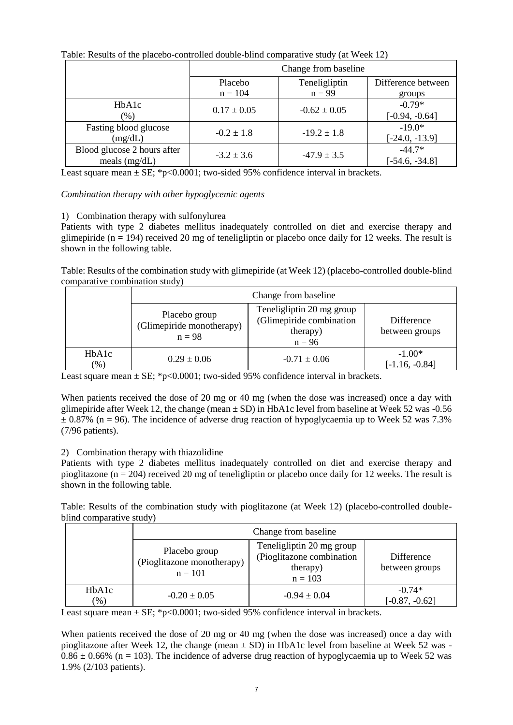| Table. Results of the placebo-controlled double-blind comparative study (at Week 12) |                      |                  |                              |  |  |  |  |
|--------------------------------------------------------------------------------------|----------------------|------------------|------------------------------|--|--|--|--|
|                                                                                      | Change from baseline |                  |                              |  |  |  |  |
|                                                                                      | Placebo              | Teneligliptin    | Difference between           |  |  |  |  |
|                                                                                      | $n = 104$            | $n = 99$         | groups                       |  |  |  |  |
| HbA1c<br>$(\% )$                                                                     | $0.17 \pm 0.05$      | $-0.62 \pm 0.05$ | $-0.79*$<br>$[-0.94, -0.64]$ |  |  |  |  |
| Fasting blood glucose<br>(mg/dL)                                                     | $-0.2 \pm 1.8$       | $-19.2 \pm 1.8$  | $-19.0*$<br>$[-24.0, -13.9]$ |  |  |  |  |
| Blood glucose 2 hours after<br>meals $(mg/dL)$                                       | $-3.2 \pm 3.6$       | $-47.9 \pm 3.5$  | $-44.7*$<br>$[-54.6, -34.8]$ |  |  |  |  |

Table: Results of the placebo-controlled double-blind comparative study (at Week 12)

Least square mean  $\pm$  SE; \*p<0.0001; two-sided 95% confidence interval in brackets.

## *Combination therapy with other hypoglycemic agents*

## 1) Combination therapy with sulfonylurea

Patients with type 2 diabetes mellitus inadequately controlled on diet and exercise therapy and glimepiride ( $n = 194$ ) received 20 mg of teneligliptin or placebo once daily for 12 weeks. The result is shown in the following table.

Table: Results of the combination study with glimepiride (at Week 12) (placebo-controlled double-blind comparative combination study)

|                 | Change from baseline                                   |                                                                               |                              |  |  |  |
|-----------------|--------------------------------------------------------|-------------------------------------------------------------------------------|------------------------------|--|--|--|
|                 | Placebo group<br>(Glimepiride monotherapy)<br>$n = 98$ | Teneligliptin 20 mg group<br>(Glimepiride combination<br>therapy)<br>$n = 96$ | Difference<br>between groups |  |  |  |
| HbA1c<br>$(\%)$ | $0.29 \pm 0.06$                                        | $-0.71 \pm 0.06$                                                              | $-1.00*$<br>$[-1.16, -0.84]$ |  |  |  |

Least square mean  $\pm$  SE; \*p<0.0001; two-sided 95% confidence interval in brackets.

When patients received the dose of 20 mg or 40 mg (when the dose was increased) once a day with glimepiride after Week 12, the change (mean  $\pm$  SD) in HbA1c level from baseline at Week 52 was -0.56  $\pm$  0.87% (n = 96). The incidence of adverse drug reaction of hypoglycaemia up to Week 52 was 7.3% (7/96 patients).

# 2) Combination therapy with thiazolidine

Patients with type 2 diabetes mellitus inadequately controlled on diet and exercise therapy and pioglitazone (n = 204) received 20 mg of teneligliptin or placebo once daily for 12 weeks. The result is shown in the following table.

Table: Results of the combination study with pioglitazone (at Week 12) (placebo-controlled doubleblind comparative study)

|                                         | Change from baseline                                     |                                                                                 |                              |  |  |
|-----------------------------------------|----------------------------------------------------------|---------------------------------------------------------------------------------|------------------------------|--|--|
|                                         | Placebo group<br>(Pioglitazone monotherapy)<br>$n = 101$ | Teneligliptin 20 mg group<br>(Pioglitazone combination<br>therapy)<br>$n = 103$ | Difference<br>between groups |  |  |
| H <sub>b</sub> A <sub>1</sub> c<br>(96) | $-0.20 \pm 0.05$                                         | $-0.94 \pm 0.04$                                                                | $-0.74*$<br>$[-0.87, -0.62]$ |  |  |

Least square mean  $\pm$  SE; \*p<0.0001; two-sided 95% confidence interval in brackets.

When patients received the dose of 20 mg or 40 mg (when the dose was increased) once a day with pioglitazone after Week 12, the change (mean  $\pm$  SD) in HbA1c level from baseline at Week 52 was - $0.86 \pm 0.66\%$  (n = 103). The incidence of adverse drug reaction of hypoglycaemia up to Week 52 was 1.9% (2/103 patients).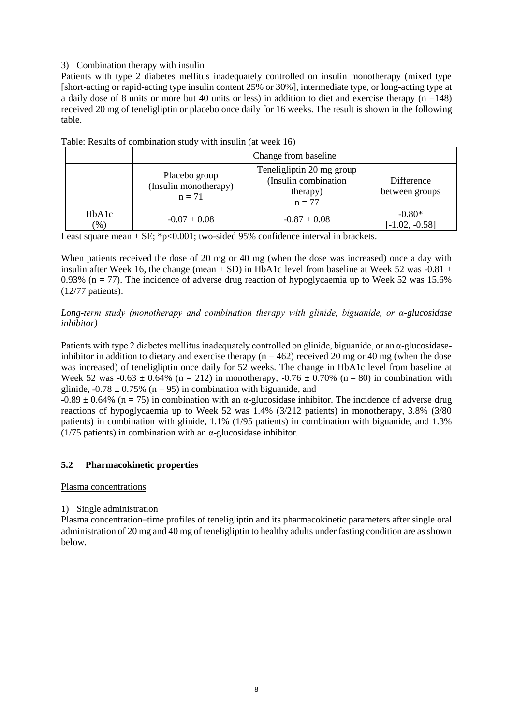## 3) Combination therapy with insulin

Patients with type 2 diabetes mellitus inadequately controlled on insulin monotherapy (mixed type [short-acting or rapid-acting type insulin content 25% or 30%], intermediate type, or long-acting type at a daily dose of 8 units or more but 40 units or less) in addition to diet and exercise therapy (n =148) received 20 mg of teneligliptin or placebo once daily for 16 weeks. The result is shown in the following table.

|                  | Change from baseline                               |                                                                           |                              |  |  |  |
|------------------|----------------------------------------------------|---------------------------------------------------------------------------|------------------------------|--|--|--|
|                  | Placebo group<br>(Insulin monotherapy)<br>$n = 71$ | Teneligliptin 20 mg group<br>(Insulin combination<br>therapy)<br>$n = 77$ |                              |  |  |  |
| HbA1c<br>$(\% )$ | $-0.07 \pm 0.08$                                   | $-0.87 \pm 0.08$                                                          | $-0.80*$<br>$[-1.02, -0.58]$ |  |  |  |

Table: Results of combination study with insulin (at week 16)

Least square mean  $\pm$  SE; \*p<0.001; two-sided 95% confidence interval in brackets.

When patients received the dose of 20 mg or 40 mg (when the dose was increased) once a day with insulin after Week 16, the change (mean  $\pm$  SD) in HbA1c level from baseline at Week 52 was -0.81  $\pm$ 0.93% ( $n = 77$ ). The incidence of adverse drug reaction of hypoglycaemia up to Week 52 was 15.6% (12/77 patients).

## *Long-term study (monotherapy and combination therapy with glinide, biguanide, or α-glucosidase inhibitor)*

Patients with type 2 diabetes mellitus inadequately controlled on glinide, biguanide, or an α-glucosidaseinhibitor in addition to dietary and exercise therapy ( $n = 462$ ) received 20 mg or 40 mg (when the dose was increased) of teneligliptin once daily for 52 weeks. The change in HbA1c level from baseline at Week 52 was  $-0.63 \pm 0.64\%$  (n = 212) in monotherapy,  $-0.76 \pm 0.70\%$  (n = 80) in combination with glinide,  $-0.78 \pm 0.75\%$  (n = 95) in combination with biguanide, and

 $-0.89 \pm 0.64\%$  (n = 75) in combination with an  $\alpha$ -glucosidase inhibitor. The incidence of adverse drug reactions of hypoglycaemia up to Week 52 was 1.4% (3/212 patients) in monotherapy, 3.8% (3/80 patients) in combination with glinide, 1.1% (1/95 patients) in combination with biguanide, and 1.3% ( $1/75$  patients) in combination with an  $\alpha$ -glucosidase inhibitor.

# **5.2 Pharmacokinetic properties**

Plasma concentrations

# 1) Single administration

Plasma concentration–time profiles of teneligliptin and its pharmacokinetic parameters after single oral administration of 20 mg and 40 mg of teneligliptin to healthy adults under fasting condition are as shown below.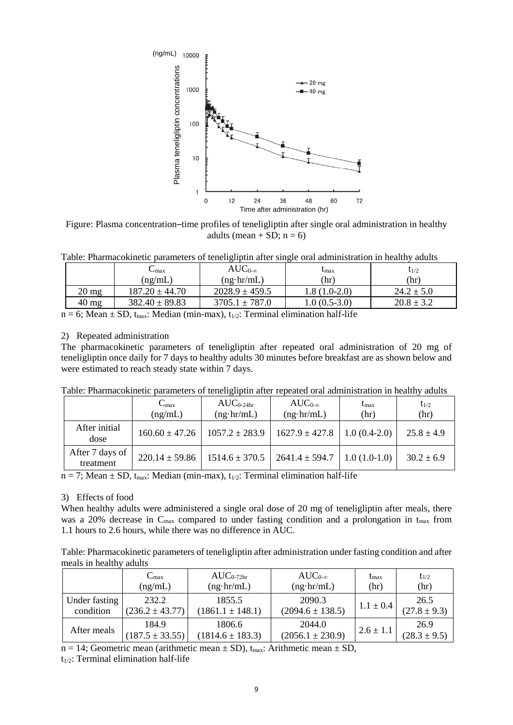

Figure: Plasma concentration–time profiles of teneligliptin after single oral administration in healthy adults (mean + SD;  $n = 6$ )

Table: Pharmacokinetic parameters of teneligliptin after single oral administration in healthy adults

|                 | $\mathsf{L}_{\text{max}}$ | $AUC_{0-\infty}$   | $t_{\rm max}$  | $t_{1/2}$      |
|-----------------|---------------------------|--------------------|----------------|----------------|
|                 | (ng/mL)                   | $(ng \cdot hr/mL)$ | (hr)           | (hr)           |
| $20 \text{ mg}$ | $187.20 \pm 44.70$        | $2028.9 \pm 459.5$ | 1.8 (1.0-2.0)  | $24.2 \pm 5.0$ |
| $40 \text{ mg}$ | $382.40 \pm 89.83$        | $3705.1 \pm 787.0$ | $1.0(0.5-3.0)$ | $20.8 \pm 3.2$ |

#### 2) Repeated administration

|  |  | Table: Pharmacokinetic parameters of teneligliptin after repeated oral administration in healthy adults |  |
|--|--|---------------------------------------------------------------------------------------------------------|--|
|  |  |                                                                                                         |  |

|                              | $C_{\rm max}$<br>(ng/mL) | $AUC_{0.24hr}$<br>$(ng \cdot hr/mL)$ | $AUC_{0-\infty}$<br>$(ng \cdot hr/mL)$ | $t_{\rm max}$<br>(hr) | $t_{1/2}$<br>(hr) |
|------------------------------|--------------------------|--------------------------------------|----------------------------------------|-----------------------|-------------------|
| After initial<br>dose        | $160.60 \pm 47.26$       | $1057.2 \pm 283.9$                   | $1627.9 \pm 427.8$                     | $1.0(0.4-2.0)$        | $25.8 \pm 4.9$    |
| After 7 days of<br>treatment | $220.14 \pm 59.86$       | $1514.6 \pm 370.5$                   | $2641.4 \pm 594.7$                     | $1.0(1.0-1.0)$        | $30.2 \pm 6.9$    |

#### 3) Effects of food

|                                   | Plasma teneligliptin concentrations                                                                                                                                                                                                                                                                                                                                                                                 | 1000      |                                          |    | 20 <sub>mg</sub><br>- 40 mg                |                        |                          |
|-----------------------------------|---------------------------------------------------------------------------------------------------------------------------------------------------------------------------------------------------------------------------------------------------------------------------------------------------------------------------------------------------------------------------------------------------------------------|-----------|------------------------------------------|----|--------------------------------------------|------------------------|--------------------------|
|                                   |                                                                                                                                                                                                                                                                                                                                                                                                                     | 100<br>10 |                                          |    |                                            |                        |                          |
|                                   |                                                                                                                                                                                                                                                                                                                                                                                                                     |           |                                          |    |                                            |                        |                          |
|                                   |                                                                                                                                                                                                                                                                                                                                                                                                                     | 0         | 12<br>24                                 | 36 | 48<br>60<br>Time after administration (hr) | 72                     |                          |
|                                   | Figure: Plasma concentration-time profiles of teneligliptin after single oral administration in healthy                                                                                                                                                                                                                                                                                                             |           | adults (mean + SD; $n = 6$ )             |    |                                            |                        |                          |
|                                   | Table: Pharmacokinetic parameters of teneligliptin after single oral administration in healthy adults                                                                                                                                                                                                                                                                                                               |           |                                          |    |                                            |                        |                          |
|                                   | $C_{max}$<br>(ng/mL)                                                                                                                                                                                                                                                                                                                                                                                                |           | $AUC_{0-\infty}$<br>$(ng \cdot hr/mL)$   |    | $t_{\rm max}$<br>(hr)                      |                        | $t_{1/2}$<br>(hr)        |
| $20 \text{ mg}$                   | $187.20 \pm 44.70$                                                                                                                                                                                                                                                                                                                                                                                                  |           | $2028.9 \pm 459.5$                       |    | $1.8(1.0-2.0)$                             |                        | $24.2 \pm 5.0$           |
| $40 \text{ mg}$                   | $382.40 \pm 89.83$<br>$n = 6$ ; Mean $\pm$ SD, t <sub>max</sub> : Median (min-max), t <sub>1/2</sub> : Terminal elimination half-life                                                                                                                                                                                                                                                                               |           | $3705.1 \pm 787.0$                       |    | $1.0(0.5-3.0)$                             |                        | $20.8 \pm 3.2$           |
|                                   | teneligliptin once daily for 7 days to healthy adults 30 minutes before breakfast are as shown below and<br>were estimated to reach steady state within 7 days.<br>Table: Pharmacokinetic parameters of teneligliptin after repeated oral administration in healthy adults<br>$C_{max}$                                                                                                                             |           | $AUC_{0.24hr}$                           |    | $AUC_{0-\infty}$                           | $t_{\rm max}$          | $t_{1/2}$                |
| After initial<br>dose             | (ng/mL)<br>$160.60 \pm 47.26$                                                                                                                                                                                                                                                                                                                                                                                       |           | $(ng \cdot hr/mL)$<br>$1057.2 \pm 283.9$ |    | $(ng \cdot hr/mL)$<br>$1627.9 \pm 427.8$   | (hr)<br>$1.0(0.4-2.0)$ | (hr)<br>$25.8 \pm 4.9$   |
| After 7 days of<br>treatment      | $220.14 \pm 59.86$                                                                                                                                                                                                                                                                                                                                                                                                  |           | $1514.6 \pm 370.5$                       |    | $2641.4 \pm 594.7$                         | $1.0(1.0-1.0)$         | $30.2 \pm 6.9$           |
| 3) Effects of food                | $n = 7$ ; Mean $\pm$ SD, t <sub>max</sub> : Median (min-max), t <sub>1/2</sub> : Terminal elimination half-life<br>When healthy adults were administered a single oral dose of 20 mg of teneligliptin after meals, there<br>was a 20% decrease in $C_{\text{max}}$ compared to under fasting condition and a prolongation in $t_{\text{max}}$ from<br>1.1 hours to 2.6 hours, while there was no difference in AUC. |           |                                          |    |                                            |                        |                          |
| meals in healthy adults           | Table: Pharmacokinetic parameters of teneligliptin after administration under fasting condition and after                                                                                                                                                                                                                                                                                                           |           |                                          |    |                                            |                        |                          |
|                                   | $C_{\text{max}}$<br>(ng/mL)                                                                                                                                                                                                                                                                                                                                                                                         |           | $AUC_{0-72hr}$<br>$(ng \cdot hr/mL)$     |    | $AUC_{0-\infty}$<br>$(ng \cdot hr/mL)$     | $t_{\rm max}$<br>(hr)  | $t_{1/2}$<br>(hr)        |
| <b>Under fasting</b><br>condition | 232.2<br>$(236.2 \pm 43.77)$                                                                                                                                                                                                                                                                                                                                                                                        |           | 1855.5<br>$(1861.1 \pm 148.1)$           |    | 2090.3<br>$(2094.6 \pm 138.5)$             | $1.1 \pm 0.4$          | 26.5<br>$(27.8 \pm 9.3)$ |
| After meals                       | 184.9<br>$(187.5 \pm 33.55)$                                                                                                                                                                                                                                                                                                                                                                                        |           | 1806.6<br>$(1814.6 \pm 183.3)$           |    | 2044.0<br>$(2056.1 \pm 230.9)$             | $2.6 \pm 1.1$          | 26.9<br>$(28.3 \pm 9.5)$ |
|                                   | $n = 14$ ; Geometric mean (arithmetic mean $\pm$ SD), t <sub>max</sub> : Arithmetic mean $\pm$ SD,<br>$t_{1/2}$ : Terminal elimination half-life                                                                                                                                                                                                                                                                    |           |                                          |    |                                            |                        |                          |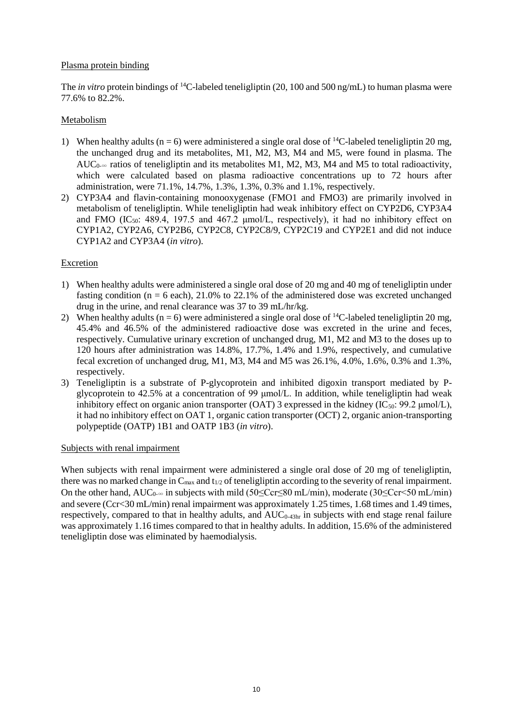## Plasma protein binding

The *in vitro* protein bindings of <sup>14</sup>C-labeled teneligliptin (20, 100 and 500 ng/mL) to human plasma were 77.6% to 82.2%.

## Metabolism

- 1) When healthy adults (n = 6) were administered a single oral dose of <sup>14</sup>C-labeled teneligliptin 20 mg, the unchanged drug and its metabolites, M1, M2, M3, M4 and M5, were found in plasma. The AUC<sub>0-∞</sub> ratios of teneligliptin and its metabolites M1, M2, M3, M4 and M5 to total radioactivity, which were calculated based on plasma radioactive concentrations up to 72 hours after administration, were 71.1%, 14.7%, 1.3%, 1.3%, 0.3% and 1.1%, respectively.
- 2) CYP3A4 and flavin-containing monooxygenase (FMO1 and FMO3) are primarily involved in metabolism of teneligliptin. While teneligliptin had weak inhibitory effect on CYP2D6, CYP3A4 and FMO  $(IC_{50}$ : 489.4, 197.5 and 467.2  $\mu$ mol/L, respectively), it had no inhibitory effect on CYP1A2, CYP2A6, CYP2B6, CYP2C8, CYP2C8/9, CYP2C19 and CYP2E1 and did not induce CYP1A2 and CYP3A4 (*in vitro*).

## Excretion

- 1) When healthy adults were administered a single oral dose of 20 mg and 40 mg of teneligliptin under fasting condition ( $n = 6$  each), 21.0% to 22.1% of the administered dose was excreted unchanged drug in the urine, and renal clearance was 37 to 39 mL/hr/kg.
- 2) When healthy adults ( $n = 6$ ) were administered a single oral dose of <sup>14</sup>C-labeled teneligliptin 20 mg, 45.4% and 46.5% of the administered radioactive dose was excreted in the urine and feces, respectively. Cumulative urinary excretion of unchanged drug, M1, M2 and M3 to the doses up to 120 hours after administration was 14.8%, 17.7%, 1.4% and 1.9%, respectively, and cumulative fecal excretion of unchanged drug, M1, M3, M4 and M5 was 26.1%, 4.0%, 1.6%, 0.3% and 1.3%, respectively.
- 3) Teneligliptin is a substrate of P-glycoprotein and inhibited digoxin transport mediated by Pglycoprotein to 42.5% at a concentration of 99 μmol/L. In addition, while teneligliptin had weak inhibitory effect on organic anion transporter (OAT) 3 expressed in the kidney ( $IC_{50}$ : 99.2 µmol/L), it had no inhibitory effect on OAT 1, organic cation transporter (OCT) 2, organic anion-transporting polypeptide (OATP) 1B1 and OATP 1B3 (*in vitro*).

#### Subjects with renal impairment

When subjects with renal impairment were administered a single oral dose of 20 mg of teneligliptin, there was no marked change in  $C_{\text{max}}$  and  $t_{1/2}$  of teneligliptin according to the severity of renal impairment. On the other hand,  $AUC_{0\infty}$  in subjects with mild (50≤Ccr≤80 mL/min), moderate (30≤Ccr<50 mL/min) and severe (Ccr<30 mL/min) renal impairment was approximately 1.25 times, 1.68 times and 1.49 times, respectively, compared to that in healthy adults, and  $AUC_{0.43hr}$  in subjects with end stage renal failure was approximately 1.16 times compared to that in healthy adults. In addition, 15.6% of the administered teneligliptin dose was eliminated by haemodialysis.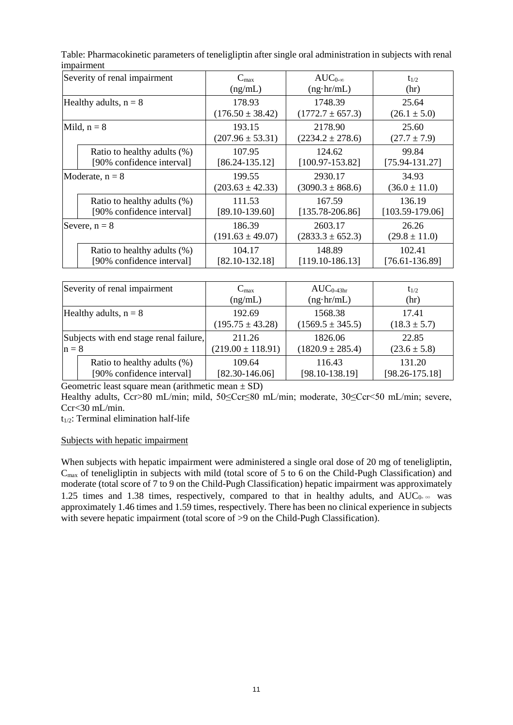| Severity of renal impairment |                             | $C_{\text{max}}$               | $AUC_{0-\infty}$                | $t_{1/2}$                  |
|------------------------------|-----------------------------|--------------------------------|---------------------------------|----------------------------|
|                              |                             | (ng/mL)                        | $(ng\cdot hr/mL)$               | (hr)                       |
| Healthy adults, $n = 8$      |                             | 178.93                         | 1748.39                         | 25.64                      |
|                              |                             | $(176.50 \pm 38.42)$           | $(1772.7 \pm 657.3)$            | $(26.1 \pm 5.0)$           |
| Mild, $n = 8$                |                             | 193.15                         | 2178.90                         | 25.60                      |
|                              |                             | $(207.96 \pm 53.31)$           | $(2234.2 \pm 278.6)$            | $(27.7 \pm 7.9)$           |
|                              | Ratio to healthy adults (%) | 107.95                         | 124.62                          | 99.84                      |
|                              | [90% confidence interval]   | $[86.24 - 135.12]$             | $[100.97 - 153.82]$             | $[75.94 - 131.27]$         |
|                              | Moderate, $n = 8$           | 199.55<br>$(203.63 \pm 42.33)$ | 2930.17<br>$(3090.3 \pm 868.6)$ | 34.93<br>$(36.0 \pm 11.0)$ |
|                              | Ratio to healthy adults (%) | 111.53                         | 167.59                          | 136.19                     |
|                              | [90% confidence interval]   | $[89.10 - 139.60]$             | $[135.78 - 206.86]$             | $[103.59-179.06]$          |
| Severe, $n = 8$              |                             | 186.39                         | 2603.17                         | 26.26                      |
|                              |                             | $(191.63 \pm 49.07)$           | $(2833.3 \pm 652.3)$            | $(29.8 \pm 11.0)$          |
|                              | Ratio to healthy adults (%) | 104.17                         | 148.89                          | 102.41                     |
|                              | [90% confidence interval]   | $[82.10 - 132.18]$             | $[119.10-186.13]$               | $[76.61 - 136.89]$         |

Table: Pharmacokinetic parameters of teneligliptin after single oral administration in subjects with renal impairment

| Severity of renal impairment           |                             | $\rm{C_{max}}$        | $AUC_{0.43hr}$       | $t_{1/2}$          |
|----------------------------------------|-----------------------------|-----------------------|----------------------|--------------------|
|                                        |                             | (ng/mL)               | $(ng\cdot hr/mL)$    | (hr)               |
| Healthy adults, $n = 8$                |                             | 192.69                | 1568.38              | 17.41              |
|                                        |                             | $(195.75 \pm 43.28)$  | $(1569.5 \pm 345.5)$ | $(18.3 \pm 5.7)$   |
| Subjects with end stage renal failure, |                             | 211.26                | 1826.06              | 22.85              |
| $n = 8$                                |                             | $(219.00 \pm 118.91)$ | $(1820.9 \pm 285.4)$ | $(23.6 \pm 5.8)$   |
|                                        | Ratio to healthy adults (%) | 109.64                | 116.43               | 131.20             |
|                                        | [90% confidence interval]   | $[82.30 - 146.06]$    | $[98.10 - 138.19]$   | $[98.26 - 175.18]$ |

Geometric least square mean (arithmetic mean  $\pm$  SD)

Healthy adults, Ccr>80 mL/min; mild, 50≤Ccr≤80 mL/min; moderate, 30≤Ccr<50 mL/min; severe, Ccr<30 mL/min.

t1/2: Terminal elimination half-life

#### Subjects with hepatic impairment

When subjects with hepatic impairment were administered a single oral dose of 20 mg of teneligliptin, C<sub>max</sub> of teneligliptin in subjects with mild (total score of 5 to 6 on the Child-Pugh Classification) and moderate (total score of 7 to 9 on the Child-Pugh Classification) hepatic impairment was approximately 1.25 times and 1.38 times, respectively, compared to that in healthy adults, and  $AUC_0 \sim$  was approximately 1.46 times and 1.59 times, respectively. There has been no clinical experience in subjects with severe hepatic impairment (total score of >9 on the Child-Pugh Classification).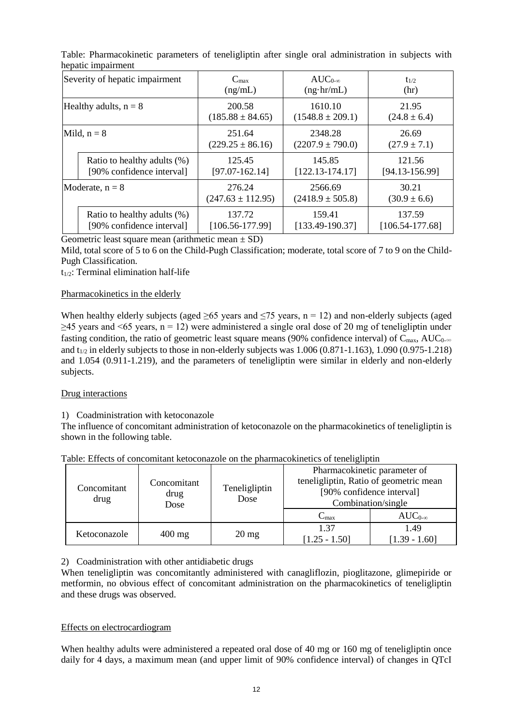| Severity of hepatic impairment |                             | $C_{\text{max}}$      | $AUC_{0-\infty}$     | $t_{1/2}$           |
|--------------------------------|-----------------------------|-----------------------|----------------------|---------------------|
|                                |                             | (ng/mL)               | $(ng \cdot hr/mL)$   | (hr)                |
| Healthy adults, $n = 8$        |                             | 200.58                | 1610.10              | 21.95               |
|                                |                             | $(185.88 \pm 84.65)$  | $(1548.8 \pm 209.1)$ | $(24.8 \pm 6.4)$    |
| Mild, $n = 8$                  |                             | 251.64                | 2348.28              | 26.69               |
|                                |                             | $(229.25 \pm 86.16)$  | $(2207.9 \pm 790.0)$ | $(27.9 \pm 7.1)$    |
|                                | Ratio to healthy adults (%) | 125.45                | 145.85               | 121.56              |
|                                | [90% confidence interval]   | $[97.07 - 162.14]$    | $[122.13 - 174.17]$  | $[94.13 - 156.99]$  |
| Moderate, $n = 8$              |                             | 276.24                | 2566.69              | 30.21               |
|                                |                             | $(247.63 \pm 112.95)$ | $(2418.9 \pm 505.8)$ | $(30.9 \pm 6.6)$    |
|                                | Ratio to healthy adults (%) | 137.72                | 159.41               | 137.59              |
|                                | [90% confidence interval]   | $[106.56 - 177.99]$   | $[133.49-190.37]$    | $[106.54 - 177.68]$ |

Table: Pharmacokinetic parameters of teneligliptin after single oral administration in subjects with hepatic impairment

Geometric least square mean (arithmetic mean  $\pm$  SD)

Mild, total score of 5 to 6 on the Child-Pugh Classification; moderate, total score of 7 to 9 on the Child-Pugh Classification.

 $t_{1/2}$ : Terminal elimination half-life

#### Pharmacokinetics in the elderly

When healthy elderly subjects (aged  $\geq 65$  years and  $\leq 75$  years, n = 12) and non-elderly subjects (aged  $>45$  years and <65 years, n = 12) were administered a single oral dose of 20 mg of teneligibitin under fasting condition, the ratio of geometric least square means (90% confidence interval) of  $C_{\text{max}}$ , AUC<sub>0</sub>. $\infty$ and  $t_{1/2}$  in elderly subjects to those in non-elderly subjects was 1.006 (0.871-1.163), 1.090 (0.975-1.218) and 1.054 (0.911-1.219), and the parameters of teneligliptin were similar in elderly and non-elderly subjects.

#### Drug interactions

#### 1) Coadministration with ketoconazole

The influence of concomitant administration of ketoconazole on the pharmacokinetics of teneligliptin is shown in the following table.

| Concomitant<br>drug | Concomitant<br>drug<br>Dose | Teneligliptin<br>Dose | Pharmacokinetic parameter of<br>teneligliptin, Ratio of geometric mean<br>[90% confidence interval]<br>Combination/single |                         |
|---------------------|-----------------------------|-----------------------|---------------------------------------------------------------------------------------------------------------------------|-------------------------|
|                     |                             |                       | $C_{\rm max}$                                                                                                             | $AUC_{0-\infty}$        |
| Ketoconazole        | $400 \text{ mg}$            | $20 \text{ mg}$       | 1 37<br>$[1.25 - 1.50]$                                                                                                   | 1.49<br>$[1.39 - 1.60]$ |

Table: Effects of concomitant ketoconazole on the pharmacokinetics of teneligliptin

# 2) Coadministration with other antidiabetic drugs

When teneligliptin was concomitantly administered with canagliflozin, pioglitazone, glimepiride or metformin, no obvious effect of concomitant administration on the pharmacokinetics of teneligliptin and these drugs was observed.

#### Effects on electrocardiogram

When healthy adults were administered a repeated oral dose of 40 mg or 160 mg of teneligliptin once daily for 4 days, a maximum mean (and upper limit of 90% confidence interval) of changes in QTcI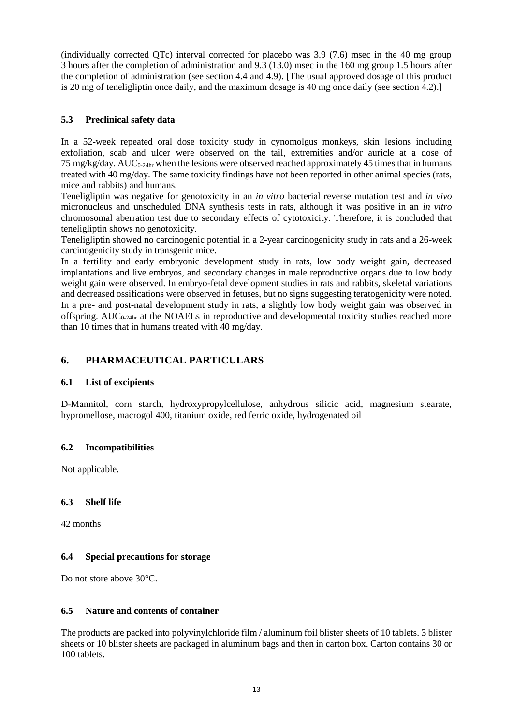(individually corrected QTc) interval corrected for placebo was 3.9 (7.6) msec in the 40 mg group 3 hours after the completion of administration and 9.3 (13.0) msec in the 160 mg group 1.5 hours after the completion of administration (see section 4.4 and 4.9). [The usual approved dosage of this product is 20 mg of teneligliptin once daily, and the maximum dosage is 40 mg once daily (see section 4.2).]

# **5.3 Preclinical safety data**

In a 52-week repeated oral dose toxicity study in cynomolgus monkeys, skin lesions including exfoliation, scab and ulcer were observed on the tail, extremities and/or auricle at a dose of 75 mg/kg/day.  $AUC_{0-24hr}$  when the lesions were observed reached approximately 45 times that in humans treated with 40 mg/day. The same toxicity findings have not been reported in other animal species (rats, mice and rabbits) and humans.

Teneligliptin was negative for genotoxicity in an *in vitro* bacterial reverse mutation test and *in vivo* micronucleus and unscheduled DNA synthesis tests in rats, although it was positive in an *in vitro* chromosomal aberration test due to secondary effects of cytotoxicity. Therefore, it is concluded that teneligliptin shows no genotoxicity.

Teneligliptin showed no carcinogenic potential in a 2-year carcinogenicity study in rats and a 26-week carcinogenicity study in transgenic mice.

In a fertility and early embryonic development study in rats, low body weight gain, decreased implantations and live embryos, and secondary changes in male reproductive organs due to low body weight gain were observed. In embryo-fetal development studies in rats and rabbits, skeletal variations and decreased ossifications were observed in fetuses, but no signs suggesting teratogenicity were noted. In a pre- and post-natal development study in rats, a slightly low body weight gain was observed in offspring. AUC<sub>0-24hr</sub> at the NOAELs in reproductive and developmental toxicity studies reached more than 10 times that in humans treated with 40 mg/day.

# **6. PHARMACEUTICAL PARTICULARS**

# **6.1 List of excipients**

D-Mannitol, corn starch, hydroxypropylcellulose, anhydrous silicic acid, magnesium stearate, hypromellose, macrogol 400, titanium oxide, red ferric oxide, hydrogenated oil

#### **6.2 Incompatibilities**

Not applicable.

# **6.3 Shelf life**

42 months

# **6.4 Special precautions for storage**

Do not store above 30°C.

#### **6.5 Nature and contents of container**

The products are packed into polyvinylchloride film / aluminum foil blister sheets of 10 tablets. 3 blister sheets or 10 blister sheets are packaged in aluminum bags and then in carton box. Carton contains 30 or 100 tablets.